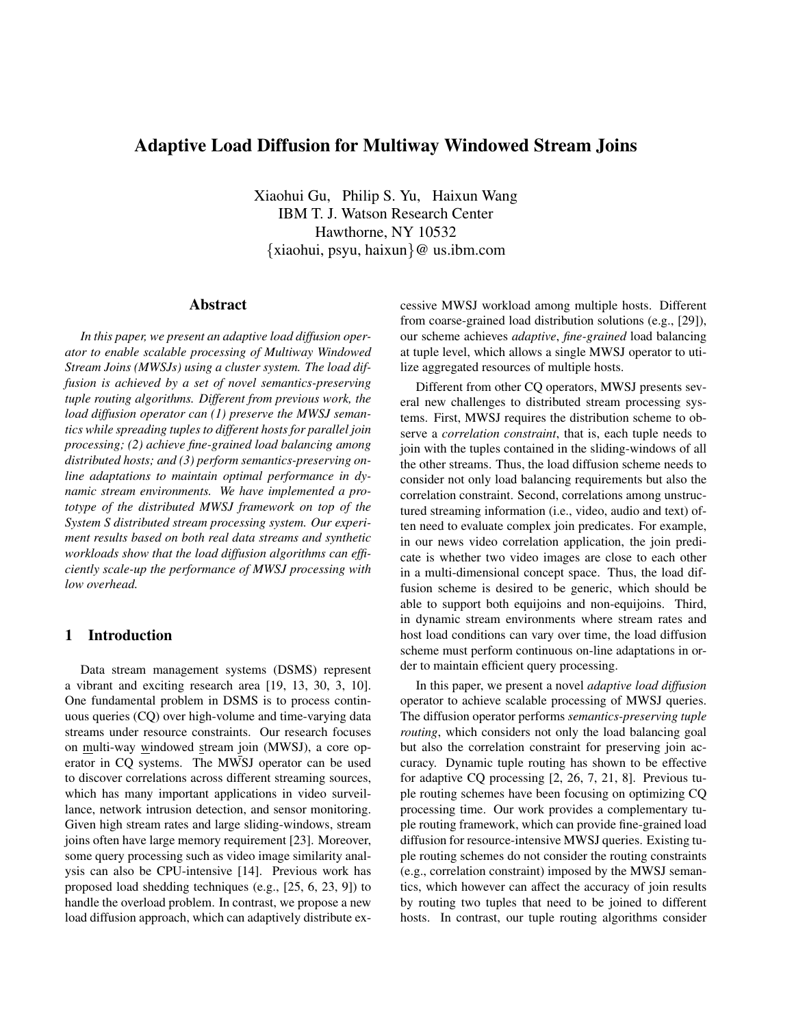# **Adaptive Load Diffusion for Multiway Windowed Stream Joins**

Xiaohui Gu, Philip S. Yu, Haixun Wang IBM T. J. Watson Research Center Hawthorne, NY 10532 {xiaohui, psyu, haixun}@ us.ibm.com

### **Abstract**

*In this paper, we present an adaptive load diffusion operator to enable scalable processing of Multiway Windowed Stream Joins (MWSJs) using a cluster system. The load diffusion is achieved by a set of novel semantics-preserving tuple routing algorithms. Different from previous work, the load diffusion operator can (1) preserve the MWSJ semantics while spreading tuples to different hosts for parallel join processing; (2) achieve fine-grained load balancing among distributed hosts; and (3) perform semantics-preserving online adaptations to maintain optimal performance in dynamic stream environments. We have implemented a prototype of the distributed MWSJ framework on top of the System S distributed stream processing system. Our experiment results based on both real data streams and synthetic workloads show that the load diffusion algorithms can efficiently scale-up the performance of MWSJ processing with low overhead.*

# **1 Introduction**

Data stream management systems (DSMS) represent a vibrant and exciting research area [19, 13, 30, 3, 10]. One fundamental problem in DSMS is to process continuous queries (CQ) over high-volume and time-varying data streams under resource constraints. Our research focuses on multi-way windowed stream join (MWSJ), a core operator in CQ systems. The MWSJ operator can be used to discover correlations across different streaming sources, which has many important applications in video surveillance, network intrusion detection, and sensor monitoring. Given high stream rates and large sliding-windows, stream joins often have large memory requirement [23]. Moreover, some query processing such as video image similarity analysis can also be CPU-intensive [14]. Previous work has proposed load shedding techniques (e.g., [25, 6, 23, 9]) to handle the overload problem. In contrast, we propose a new load diffusion approach, which can adaptively distribute excessive MWSJ workload among multiple hosts. Different from coarse-grained load distribution solutions (e.g., [29]), our scheme achieves *adaptive*, *fine-grained* load balancing at tuple level, which allows a single MWSJ operator to utilize aggregated resources of multiple hosts.

Different from other CQ operators, MWSJ presents several new challenges to distributed stream processing systems. First, MWSJ requires the distribution scheme to observe a *correlation constraint*, that is, each tuple needs to join with the tuples contained in the sliding-windows of all the other streams. Thus, the load diffusion scheme needs to consider not only load balancing requirements but also the correlation constraint. Second, correlations among unstructured streaming information (i.e., video, audio and text) often need to evaluate complex join predicates. For example, in our news video correlation application, the join predicate is whether two video images are close to each other in a multi-dimensional concept space. Thus, the load diffusion scheme is desired to be generic, which should be able to support both equijoins and non-equijoins. Third, in dynamic stream environments where stream rates and host load conditions can vary over time, the load diffusion scheme must perform continuous on-line adaptations in order to maintain efficient query processing.

In this paper, we present a novel *adaptive load diffusion* operator to achieve scalable processing of MWSJ queries. The diffusion operator performs *semantics-preserving tuple routing*, which considers not only the load balancing goal but also the correlation constraint for preserving join accuracy. Dynamic tuple routing has shown to be effective for adaptive CQ processing [2, 26, 7, 21, 8]. Previous tuple routing schemes have been focusing on optimizing CQ processing time. Our work provides a complementary tuple routing framework, which can provide fine-grained load diffusion for resource-intensive MWSJ queries. Existing tuple routing schemes do not consider the routing constraints (e.g., correlation constraint) imposed by the MWSJ semantics, which however can affect the accuracy of join results by routing two tuples that need to be joined to different hosts. In contrast, our tuple routing algorithms consider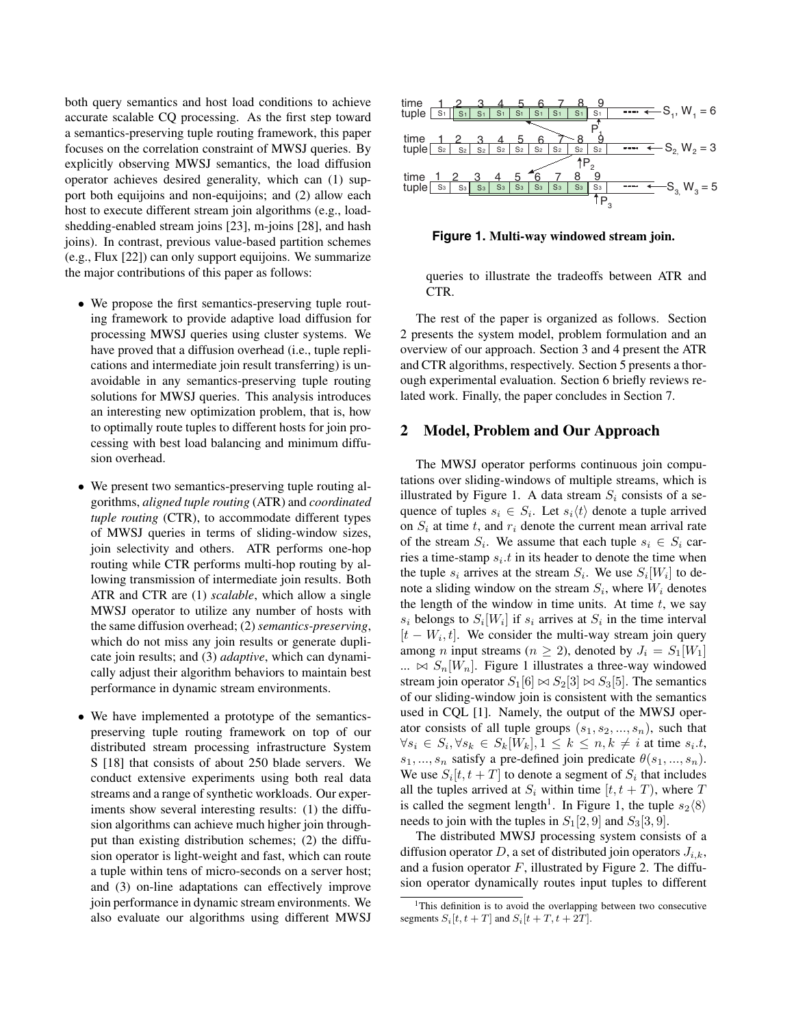both query semantics and host load conditions to achieve accurate scalable CQ processing. As the first step toward a semantics-preserving tuple routing framework, this paper focuses on the correlation constraint of MWSJ queries. By explicitly observing MWSJ semantics, the load diffusion operator achieves desired generality, which can (1) support both equijoins and non-equijoins; and (2) allow each host to execute different stream join algorithms (e.g., loadshedding-enabled stream joins [23], m-joins [28], and hash joins). In contrast, previous value-based partition schemes (e.g., Flux [22]) can only support equijoins. We summarize the major contributions of this paper as follows:

- We propose the first semantics-preserving tuple routing framework to provide adaptive load diffusion for processing MWSJ queries using cluster systems. We have proved that a diffusion overhead (i.e., tuple replications and intermediate join result transferring) is unavoidable in any semantics-preserving tuple routing solutions for MWSJ queries. This analysis introduces an interesting new optimization problem, that is, how to optimally route tuples to different hosts for join processing with best load balancing and minimum diffusion overhead.
- We present two semantics-preserving tuple routing algorithms, *aligned tuple routing* (ATR) and *coordinated tuple routing* (CTR), to accommodate different types of MWSJ queries in terms of sliding-window sizes, join selectivity and others. ATR performs one-hop routing while CTR performs multi-hop routing by allowing transmission of intermediate join results. Both ATR and CTR are (1) *scalable*, which allow a single MWSJ operator to utilize any number of hosts with the same diffusion overhead; (2) *semantics-preserving*, which do not miss any join results or generate duplicate join results; and (3) *adaptive*, which can dynamically adjust their algorithm behaviors to maintain best performance in dynamic stream environments.
- We have implemented a prototype of the semanticspreserving tuple routing framework on top of our distributed stream processing infrastructure System S [18] that consists of about 250 blade servers. We conduct extensive experiments using both real data streams and a range of synthetic workloads. Our experiments show several interesting results: (1) the diffusion algorithms can achieve much higher join throughput than existing distribution schemes; (2) the diffusion operator is light-weight and fast, which can route a tuple within tens of micro-seconds on a server host; and (3) on-line adaptations can effectively improve join performance in dynamic stream environments. We also evaluate our algorithms using different MWSJ



#### **Figure 1. Multi-way windowed stream join.**

queries to illustrate the tradeoffs between ATR and CTR.

The rest of the paper is organized as follows. Section 2 presents the system model, problem formulation and an overview of our approach. Section 3 and 4 present the ATR and CTR algorithms, respectively. Section 5 presents a thorough experimental evaluation. Section 6 briefly reviews related work. Finally, the paper concludes in Section 7.

### **2 Model, Problem and Our Approach**

The MWSJ operator performs continuous join computations over sliding-windows of multiple streams, which is illustrated by Figure 1. A data stream  $S_i$  consists of a sequence of tuples  $s_i \in S_i$ . Let  $s_i \langle t \rangle$  denote a tuple arrived on  $S_i$  at time t, and  $r_i$  denote the current mean arrival rate of the stream  $S_i$ . We assume that each tuple  $s_i \in S_i$  carries a time-stamp  $s_i.t$  in its header to denote the time when the tuple  $s_i$  arrives at the stream  $S_i$ . We use  $S_i[W_i]$  to denote a sliding window on the stream  $S_i$ , where  $W_i$  denotes the length of the window in time units. At time  $t$ , we say  $s_i$  belongs to  $S_i[W_i]$  if  $s_i$  arrives at  $S_i$  in the time interval  $[t - W_i, t]$ . We consider the multi-way stream join query among *n* input streams ( $n \geq 2$ ), denoted by  $J_i = S_1[W_1]$  $\ldots \bowtie S_n[W_n]$ . Figure 1 illustrates a three-way windowed stream join operator  $S_1[6] \bowtie S_2[3] \bowtie S_3[5]$ . The semantics of our sliding-window join is consistent with the semantics used in CQL [1]. Namely, the output of the MWSJ operator consists of all tuple groups  $(s_1, s_2, ..., s_n)$ , such that  $\forall s_i \in S_i, \forall s_k \in S_k[W_k], 1 \leq k \leq n, k \neq i$  at time  $s_i.t$ ,  $s_1, ..., s_n$  satisfy a pre-defined join predicate  $\theta(s_1, ..., s_n)$ . We use  $S_i[t, t + T]$  to denote a segment of  $S_i$  that includes all the tuples arrived at  $S_i$  within time  $[t, t + T)$ , where T is called the segment length<sup>1</sup>. In Figure 1, the tuple  $s_2\langle 8 \rangle$ needs to join with the tuples in  $S_1[2, 9]$  and  $S_3[3, 9]$ .

The distributed MWSJ processing system consists of a diffusion operator D, a set of distributed join operators  $J_{i,k}$ , and a fusion operator  $F$ , illustrated by Figure 2. The diffusion operator dynamically routes input tuples to different

<sup>&</sup>lt;sup>1</sup>This definition is to avoid the overlapping between two consecutive segments  $S_i[t, t + T]$  and  $S_i[t + T, t + 2T]$ .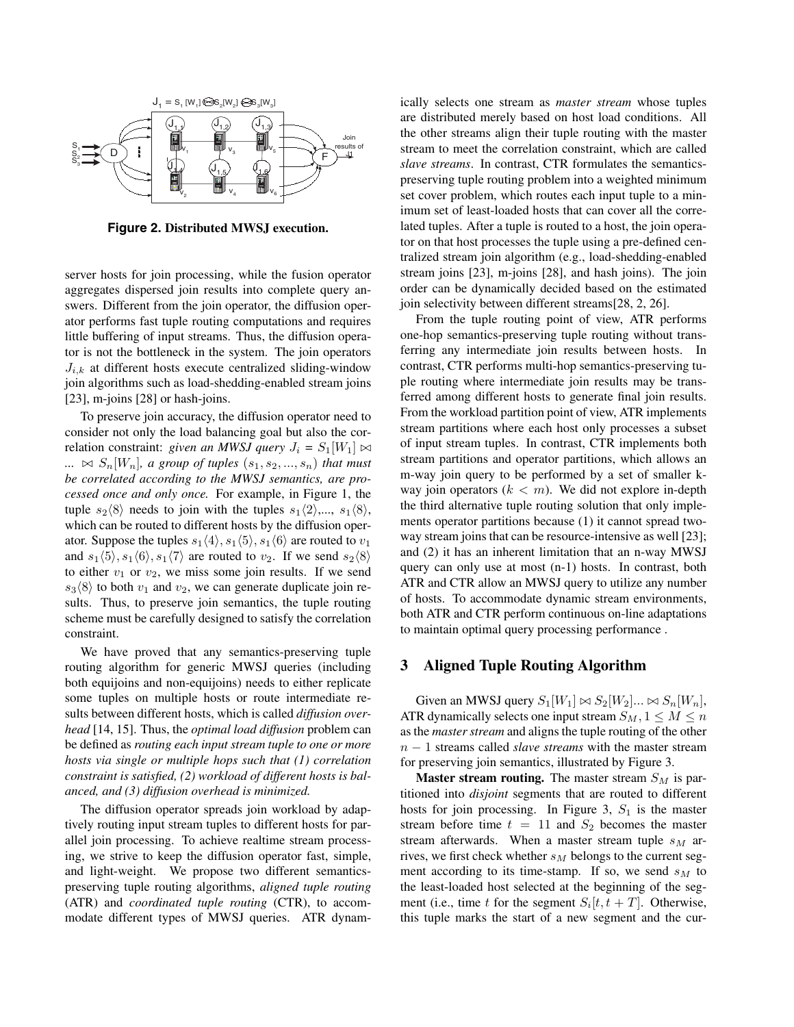

**Figure 2. Distributed MWSJ execution.**

server hosts for join processing, while the fusion operator aggregates dispersed join results into complete query answers. Different from the join operator, the diffusion operator performs fast tuple routing computations and requires little buffering of input streams. Thus, the diffusion operator is not the bottleneck in the system. The join operators  $J_{i,k}$  at different hosts execute centralized sliding-window join algorithms such as load-shedding-enabled stream joins [23], m-joins [28] or hash-joins.

To preserve join accuracy, the diffusion operator need to consider not only the load balancing goal but also the correlation constraint: *given an MWSJ query*  $J_i = S_1[W_1] \bowtie$  $\ldots \Join S_n[W_n]$ , a group of tuples  $(s_1, s_2, \ldots, s_n)$  that must *be correlated according to the MWSJ semantics, are processed once and only once.* For example, in Figure 1, the tuple  $s_2\langle 8 \rangle$  needs to join with the tuples  $s_1\langle 2 \rangle$ ,...,  $s_1\langle 8 \rangle$ , which can be routed to different hosts by the diffusion operator. Suppose the tuples  $s_1\langle 4\rangle, s_1\langle 5\rangle, s_1\langle 6\rangle$  are routed to  $v_1$ and  $s_1\langle 5 \rangle$ ,  $s_1\langle 6 \rangle$ ,  $s_1\langle 7 \rangle$  are routed to  $v_2$ . If we send  $s_2\langle 8 \rangle$ to either  $v_1$  or  $v_2$ , we miss some join results. If we send  $s_3\langle 8 \rangle$  to both  $v_1$  and  $v_2$ , we can generate duplicate join results. Thus, to preserve join semantics, the tuple routing scheme must be carefully designed to satisfy the correlation constraint.

We have proved that any semantics-preserving tuple routing algorithm for generic MWSJ queries (including both equijoins and non-equijoins) needs to either replicate some tuples on multiple hosts or route intermediate results between different hosts, which is called *diffusion overhead* [14, 15]. Thus, the *optimal load diffusion* problem can be defined as *routing each input stream tuple to one or more hosts via single or multiple hops such that (1) correlation constraint is satisfied, (2) workload of different hosts is balanced, and (3) diffusion overhead is minimized.*

The diffusion operator spreads join workload by adaptively routing input stream tuples to different hosts for parallel join processing. To achieve realtime stream processing, we strive to keep the diffusion operator fast, simple, and light-weight. We propose two different semanticspreserving tuple routing algorithms, *aligned tuple routing* (ATR) and *coordinated tuple routing* (CTR), to accommodate different types of MWSJ queries. ATR dynamically selects one stream as *master stream* whose tuples are distributed merely based on host load conditions. All the other streams align their tuple routing with the master stream to meet the correlation constraint, which are called *slave streams*. In contrast, CTR formulates the semanticspreserving tuple routing problem into a weighted minimum set cover problem, which routes each input tuple to a minimum set of least-loaded hosts that can cover all the correlated tuples. After a tuple is routed to a host, the join operator on that host processes the tuple using a pre-defined centralized stream join algorithm (e.g., load-shedding-enabled stream joins [23], m-joins [28], and hash joins). The join order can be dynamically decided based on the estimated join selectivity between different streams[28, 2, 26].

From the tuple routing point of view, ATR performs one-hop semantics-preserving tuple routing without transferring any intermediate join results between hosts. In contrast, CTR performs multi-hop semantics-preserving tuple routing where intermediate join results may be transferred among different hosts to generate final join results. From the workload partition point of view, ATR implements stream partitions where each host only processes a subset of input stream tuples. In contrast, CTR implements both stream partitions and operator partitions, which allows an m-way join query to be performed by a set of smaller kway join operators  $(k < m)$ . We did not explore in-depth the third alternative tuple routing solution that only implements operator partitions because (1) it cannot spread twoway stream joins that can be resource-intensive as well [23]; and (2) it has an inherent limitation that an n-way MWSJ query can only use at most (n-1) hosts. In contrast, both ATR and CTR allow an MWSJ query to utilize any number of hosts. To accommodate dynamic stream environments, both ATR and CTR perform continuous on-line adaptations to maintain optimal query processing performance .

## **3 Aligned Tuple Routing Algorithm**

Given an MWSJ query  $S_1[W_1] \bowtie S_2[W_2] \dots \bowtie S_n[W_n],$ ATR dynamically selects one input stream  $S_M$ ,  $1 \leq M \leq n$ as the *master stream* and aligns the tuple routing of the other n − 1 streams called *slave streams* with the master stream for preserving join semantics, illustrated by Figure 3.

**Master stream routing.** The master stream  $S_M$  is partitioned into *disjoint* segments that are routed to different hosts for join processing. In Figure 3,  $S_1$  is the master stream before time  $t = 11$  and  $S_2$  becomes the master stream afterwards. When a master stream tuple  $s_M$  arrives, we first check whether  $s_M$  belongs to the current segment according to its time-stamp. If so, we send  $s_M$  to the least-loaded host selected at the beginning of the segment (i.e., time t for the segment  $S_i[t, t + T]$ . Otherwise, this tuple marks the start of a new segment and the cur-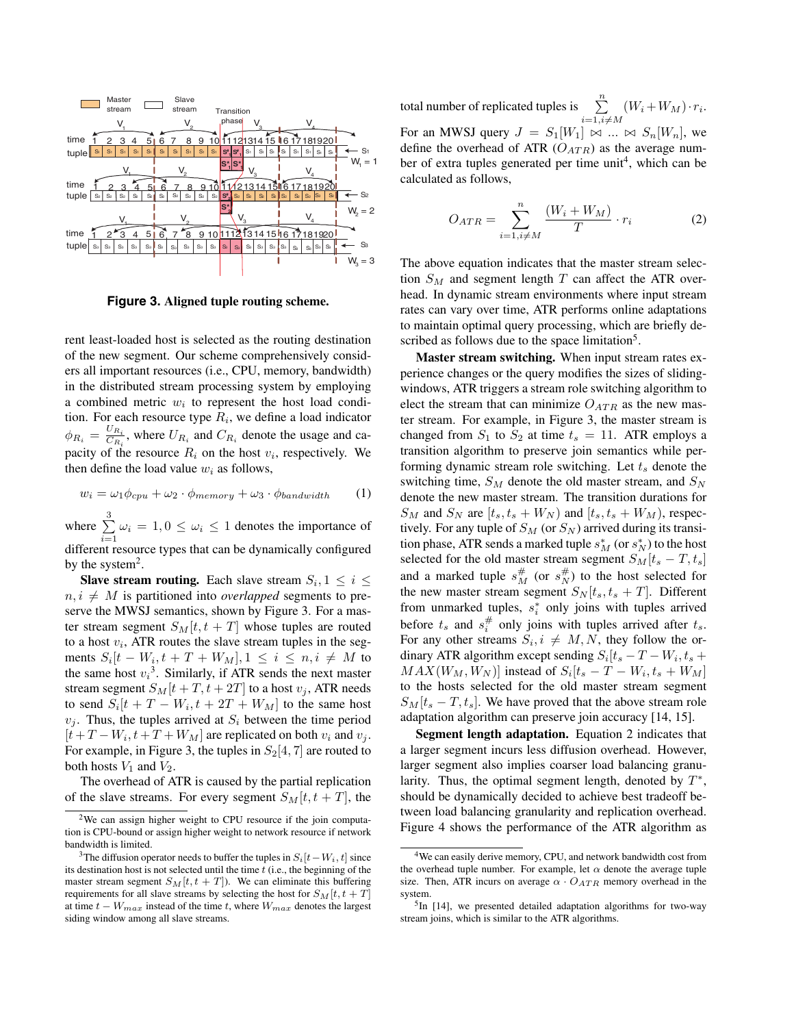

**Figure 3. Aligned tuple routing scheme.**

rent least-loaded host is selected as the routing destination of the new segment. Our scheme comprehensively considers all important resources (i.e., CPU, memory, bandwidth) in the distributed stream processing system by employing a combined metric  $w_i$  to represent the host load condition. For each resource type  $R_i$ , we define a load indicator  $\phi_{R_i} = \frac{U_{R_i}}{C_{R_i}}$ , where  $U_{R_i}$  and  $C_{R_i}$  denote the usage and capacity of the resource  $R_i$  on the host  $v_i$ , respectively. We then define the load value  $w_i$  as follows,

$$
w_i = \omega_1 \phi_{cpu} + \omega_2 \cdot \phi_{memory} + \omega_3 \cdot \phi_{bandwidth} \tag{1}
$$

where  $\sum_{ }^{3}$  $\sum_{i=1} \omega_i = 1, 0 \leq \omega_i \leq 1$  denotes the importance of different resource types that can be dynamically configured

by the system<sup>2</sup>.

**Slave stream routing.** Each slave stream  $S_i$ ,  $1 \leq i \leq$  $n, i \neq M$  is partitioned into *overlapped* segments to preserve the MWSJ semantics, shown by Figure 3. For a master stream segment  $S_M[t, t + T]$  whose tuples are routed to a host  $v_i$ , ATR routes the slave stream tuples in the segments  $S_i[t - W_i, t + T + W_M], 1 \le i \le n, i \neq M$  to the same host  $v_i^3$ . Similarly, if ATR sends the next master stream segment  $S_M[t + T, t + 2T]$  to a host  $v_j$ , ATR needs to send  $S_i[t + T - W_i, t + 2T + W_M]$  to the same host  $v_j$ . Thus, the tuples arrived at  $S_i$  between the time period  $[t+T-W_i, t+T+W_M]$  are replicated on both  $v_i$  and  $v_j$ . For example, in Figure 3, the tuples in  $S_2[4, 7]$  are routed to both hosts  $V_1$  and  $V_2$ .

The overhead of ATR is caused by the partial replication of the slave streams. For every segment  $S_M[t, t + T]$ , the

total number of replicated tuples is  $\sum_{n=1}^n$  $i=1,\overline{i}\neq M$  $(W_i + W_M) \cdot r_i$ . For an MWSJ query  $J = S_1[W_1] \bowtie ... \bowtie S_n[W_n]$ , we define the overhead of ATR  $(O_{ATR})$  as the average number of extra tuples generated per time unit<sup>4</sup>, which can be calculated as follows,

$$
O_{ATR} = \sum_{i=1, i \neq M}^{n} \frac{(W_i + W_M)}{T} \cdot r_i \tag{2}
$$

The above equation indicates that the master stream selection  $S_M$  and segment length T can affect the ATR overhead. In dynamic stream environments where input stream rates can vary over time, ATR performs online adaptations to maintain optimal query processing, which are briefly described as follows due to the space limitation<sup>5</sup>.

**Master stream switching.** When input stream rates experience changes or the query modifies the sizes of slidingwindows, ATR triggers a stream role switching algorithm to elect the stream that can minimize  $O_{ATR}$  as the new master stream. For example, in Figure 3, the master stream is changed from  $S_1$  to  $S_2$  at time  $t_s = 11$ . ATR employs a transition algorithm to preserve join semantics while performing dynamic stream role switching. Let  $t_s$  denote the switching time,  $S_M$  denote the old master stream, and  $S_N$ denote the new master stream. The transition durations for  $S_M$  and  $S_N$  are  $[t_s, t_s + W_N)$  and  $[t_s, t_s + W_M)$ , respectively. For any tuple of  $S_M$  (or  $S_N$ ) arrived during its transition phase, ATR sends a marked tuple  $s_M^*$  (or  $s_N^*$ ) to the host selected for the old master stream segment  $S_M[t_s - T, t_s]$ and a marked tuple  $s_M^{\#}$  (or  $s_N^{\#}$ ) to the host selected for the new master stream segment  $S_N[t_s, t_s + T]$ . Different from unmarked tuples,  $s_i^*$  only joins with tuples arrived before  $t_s$  and  $s_i^{\#}$  only joins with tuples arrived after  $t_s$ . For any other streams  $S_i, i \neq M, N$ , they follow the ordinary ATR algorithm except sending  $S_i[t_s - T - W_i, t_s +$  $MAX(W_M, W_N)$  instead of  $S_i[t_s - T - W_i, t_s + W_M]$ to the hosts selected for the old master stream segment  $S_M[t_s-T,t_s]$ . We have proved that the above stream role adaptation algorithm can preserve join accuracy [14, 15].

**Segment length adaptation.** Equation 2 indicates that a larger segment incurs less diffusion overhead. However, larger segment also implies coarser load balancing granularity. Thus, the optimal segment length, denoted by  $T^*$ , should be dynamically decided to achieve best tradeoff between load balancing granularity and replication overhead. Figure 4 shows the performance of the ATR algorithm as

<sup>&</sup>lt;sup>2</sup>We can assign higher weight to CPU resource if the join computation is CPU-bound or assign higher weight to network resource if network bandwidth is limited.

<sup>&</sup>lt;sup>3</sup>The diffusion operator needs to buffer the tuples in  $S_i[t-W_i, t]$  since its destination host is not selected until the time  $t$  (i.e., the beginning of the master stream segment  $S_M[t, t + T]$ ). We can eliminate this buffering requirements for all slave streams by selecting the host for  $S_M[t, t + T]$ at time t *−* W*max* instead of the time t, where W*max* denotes the largest siding window among all slave streams.

<sup>&</sup>lt;sup>4</sup>We can easily derive memory, CPU, and network bandwidth cost from the overhead tuple number. For example, let  $\alpha$  denote the average tuple size. Then, ATR incurs on average  $\alpha \cdot O_{ATR}$  memory overhead in the system.

 $5$ In [14], we presented detailed adaptation algorithms for two-way stream joins, which is similar to the ATR algorithms.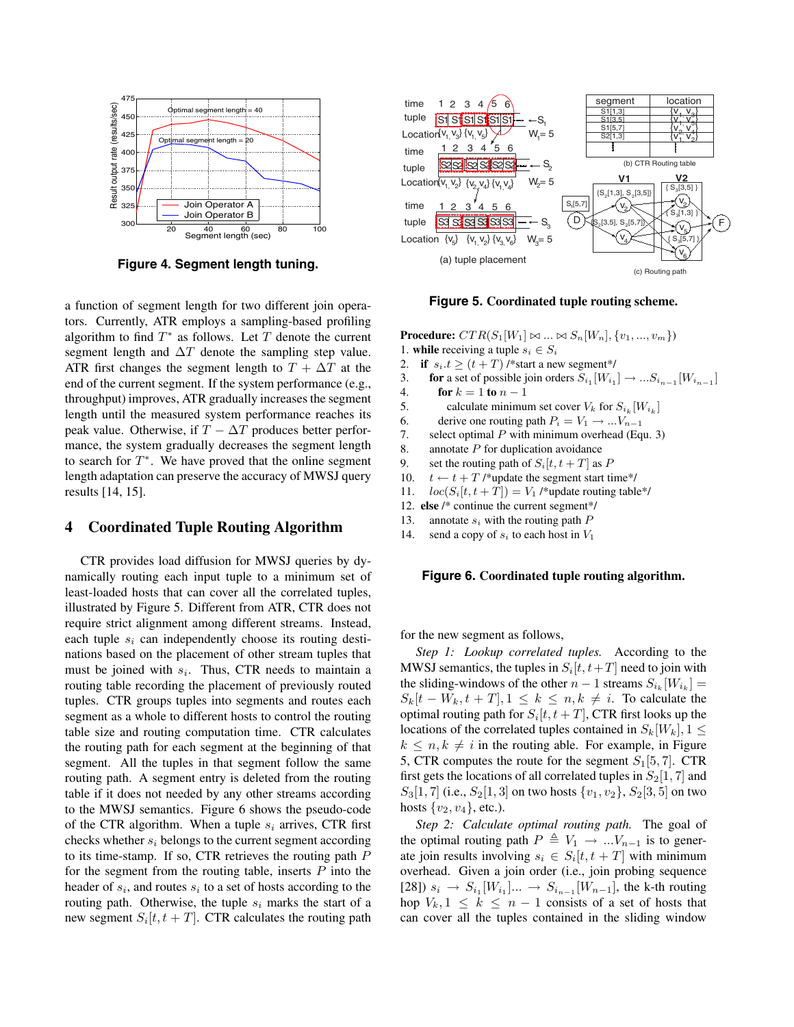

**Figure 4. Segment length tuning.**

a function of segment length for two different join operators. Currently, ATR employs a sampling-based profiling algorithm to find  $T^*$  as follows. Let T denote the current segment length and  $\Delta T$  denote the sampling step value. ATR first changes the segment length to  $T + \Delta T$  at the end of the current segment. If the system performance (e.g., throughput) improves, ATR gradually increases the segment length until the measured system performance reaches its peak value. Otherwise, if  $T - \Delta T$  produces better performance, the system gradually decreases the segment length to search for  $T^*$ . We have proved that the online segment length adaptation can preserve the accuracy of MWSJ query results [14, 15].

## **4 Coordinated Tuple Routing Algorithm**

CTR provides load diffusion for MWSJ queries by dynamically routing each input tuple to a minimum set of least-loaded hosts that can cover all the correlated tuples, illustrated by Figure 5. Different from ATR, CTR does not require strict alignment among different streams. Instead, each tuple  $s_i$  can independently choose its routing destinations based on the placement of other stream tuples that must be joined with  $s_i$ . Thus, CTR needs to maintain a routing table recording the placement of previously routed tuples. CTR groups tuples into segments and routes each segment as a whole to different hosts to control the routing table size and routing computation time. CTR calculates the routing path for each segment at the beginning of that segment. All the tuples in that segment follow the same routing path. A segment entry is deleted from the routing table if it does not needed by any other streams according to the MWSJ semantics. Figure 6 shows the pseudo-code of the CTR algorithm. When a tuple  $s_i$  arrives, CTR first checks whether  $s_i$  belongs to the current segment according to its time-stamp. If so, CTR retrieves the routing path P for the segment from the routing table, inserts  $P$  into the header of  $s_i$ , and routes  $s_i$  to a set of hosts according to the routing path. Otherwise, the tuple  $s_i$  marks the start of a new segment  $S_i[t, t + T]$ . CTR calculates the routing path



**Figure 5. Coordinated tuple routing scheme.**

**Procedure:**  $CTR(S_1[W_1] \bowtie ... \bowtie S_n[W_n], \{v_1, ..., v_m\})$ 1. **while** receiving a tuple  $s_i \in S_i$ 

- 2. **if**  $s_i.t \ge (t + T)$  /\*start a new segment\*/
- 3. **for** a set of possible join orders  $S_{i_1}[W_{i_1}] \rightarrow ... S_{i_{n-1}}[W_{i_{n-1}}]$ <br>4. **for**  $k = 1$  to  $n 1$ **for**  $k = 1$  **to**  $n - 1$
- 5. calculate minimum set cover  $V_k$  for  $S_{i_k} [W_{i_k}]$
- 6. derive one routing path  $P_i = V_1 \rightarrow ... V_{n-1}$ <br>7. select optimal P with minimum overhead (Eq.
- select optimal  $P$  with minimum overhead (Equ. 3)
- 8. annotate  $P$  for duplication avoidance
- 9. set the routing path of  $S_i[t, t + T]$  as P
- 10.  $t \leftarrow t + T$  /\*update the segment start time\*/
- 11.  $loc(S_i[t, t + T]) = V_1$  /\*update routing table\*/
- 12. **else** /\* continue the current segment\*/
- 13. annotate s*<sup>i</sup>* with the routing path P
- 14. send a copy of  $s_i$  to each host in  $V_1$

#### **Figure 6. Coordinated tuple routing algorithm.**

for the new segment as follows,

*Step 1: Lookup correlated tuples.* According to the MWSJ semantics, the tuples in  $S_i[t, t+T]$  need to join with the sliding-windows of the other  $n - 1$  streams  $S_{i_k}[W_{i_k}] =$  $S_k[t - W_k, t + T], 1 \leq k \leq n, k \neq i$ . To calculate the optimal routing path for  $S_i[t, t + T]$ , CTR first looks up the locations of the correlated tuples contained in  $S_k[W_k], 1 \leq$  $k \leq n, k \neq i$  in the routing able. For example, in Figure 5, CTR computes the route for the segment  $S_1[5, 7]$ . CTR first gets the locations of all correlated tuples in  $S_2[1, 7]$  and  $S_3[1, 7]$  (i.e.,  $S_2[1, 3]$  on two hosts  $\{v_1, v_2\}$ ,  $S_2[3, 5]$  on two hosts  $\{v_2, v_4\}$ , etc.).

*Step 2: Calculate optimal routing path.* The goal of the optimal routing path  $P \triangleq V_1 \rightarrow ... V_{n-1}$  is to generate join results involving  $s_i \in S_i[t, t + T]$  with minimum overhead. Given a join order (i.e., join probing sequence [28])  $s_i$  →  $S_{i_1}[W_{i_1}]...$  →  $S_{i_{n-1}}[W_{n-1}]$ , the k-th routing hop  $V_k$ ,  $1 \leq k \leq n-1$  consists of a set of hosts that can cover all the tuples contained in the sliding window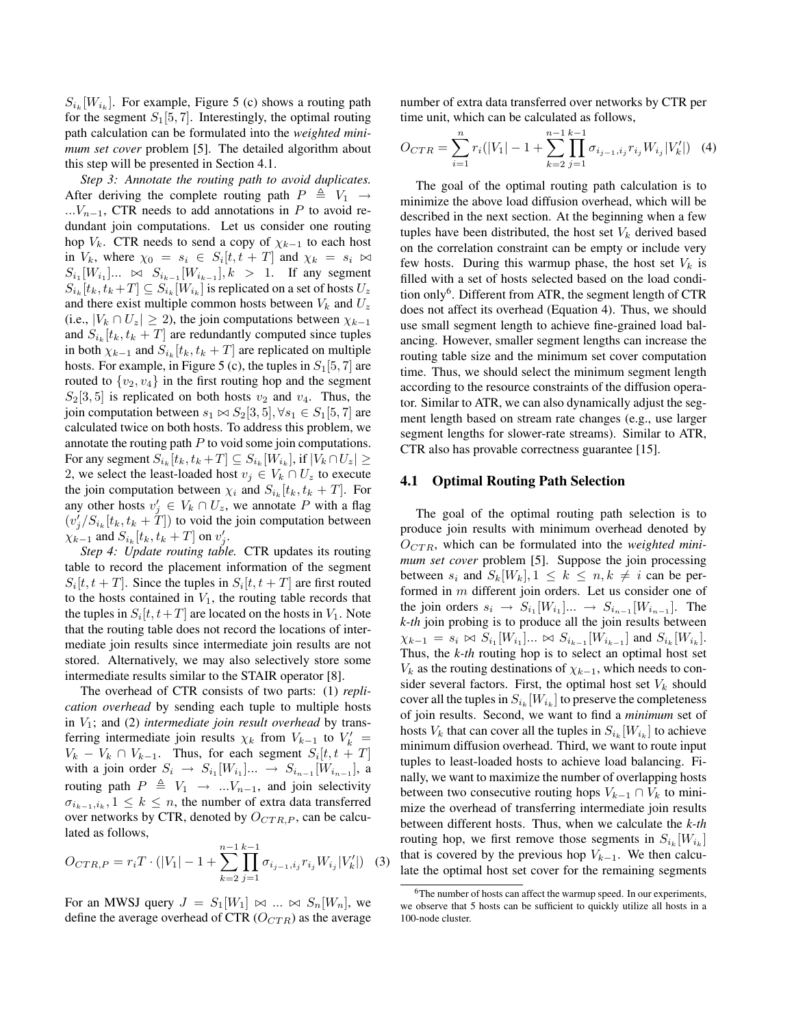$S_{i_k}[W_{i_k}]$ . For example, Figure 5 (c) shows a routing path for the segment  $S_1[5, 7]$ . Interestingly, the optimal routing path calculation can be formulated into the *weighted minimum set cover* problem [5]. The detailed algorithm about this step will be presented in Section 4.1.

*Step 3: Annotate the routing path to avoid duplicates.* After deriving the complete routing path  $P \triangleq V_1 \rightarrow$  $...V_{n-1}$ , CTR needs to add annotations in P to avoid redundant join computations. Let us consider one routing hop  $V_k$ . CTR needs to send a copy of  $\chi_{k-1}$  to each host in  $V_k$ , where  $\chi_0 = s_i \in S_i[t, t + T]$  and  $\chi_k = s_i \bowtie$  $S_{i_1}[W_{i_1}]... \; \bowtie \; S_{i_{k-1}}[W_{i_{k-1}}], k > 1.$  If any segment  $S_{i_k}[t_k,t_k+T] \subseteq S_{i_k}[W_{i_k}]$  is replicated on a set of hosts  $U_z$ and there exist multiple common hosts between  $V_k$  and  $U_z$ (i.e.,  $|V_k \cap U_z| \ge 2$ ), the join computations between  $\chi_{k-1}$ and  $S_{i_k}[t_k, t_k + T]$  are redundantly computed since tuples in both  $\chi_{k-1}$  and  $S_{i_k}[t_k, t_k + T]$  are replicated on multiple hosts. For example, in Figure 5 (c), the tuples in  $S_1[5, 7]$  are routed to  $\{v_2, v_4\}$  in the first routing hop and the segment  $S_2[3, 5]$  is replicated on both hosts  $v_2$  and  $v_4$ . Thus, the join computation between  $s_1 \bowtie S_2[3,5], \forall s_1 \in S_1[5,7]$  are calculated twice on both hosts. To address this problem, we annotate the routing path  $P$  to void some join computations. For any segment  $S_{i_k}[t_k, t_k+T] \subseteq S_{i_k}[W_{i_k}],$  if  $|V_k \cap U_z| \geq$ 2, we select the least-loaded host  $v_i \in V_k \cap U_z$  to execute the join computation between  $\chi_i$  and  $S_{i_k}[t_k, t_k + T]$ . For any other hosts  $v'_i \in V_k \cap U_z$ , we annotate P with a flag  $(v_j'/S_{i_k}[t_k, t_k + T])$  to void the join computation between  $\chi_{k-1}$  and  $S_{i_k}[t_k, t_k+T]$  on  $v'_j$ .

*Step 4: Update routing table.* CTR updates its routing table to record the placement information of the segment  $S_i[t, t + T]$ . Since the tuples in  $S_i[t, t + T]$  are first routed to the hosts contained in  $V_1$ , the routing table records that the tuples in  $S_i[t, t+T]$  are located on the hosts in  $V_1$ . Note that the routing table does not record the locations of intermediate join results since intermediate join results are not stored. Alternatively, we may also selectively store some intermediate results similar to the STAIR operator [8].

The overhead of CTR consists of two parts: (1) *replication overhead* by sending each tuple to multiple hosts in  $V_1$ ; and (2) *intermediate join result overhead* by transferring intermediate join results  $\chi_k$  from  $V_{k-1}$  to  $V'_k$  $V_k - V_k \cap V_{k-1}$ . Thus, for each segment  $S_i[t, t + T]$ with a join order  $S_i \rightarrow S_{i_1}[W_{i_1}]... \rightarrow S_{i_{n-1}}[W_{i_{n-1}}]$ , a routing path  $P \triangleq V_1 \rightarrow ... V_{n-1}$ , and join selectivity  $\sigma_{i_{k-1},i_k}$ , 1 ≤  $k \leq n$ , the number of extra data transferred over networks by CTR, denoted by  $O_{CTR,P}$ , can be calculated as follows,

$$
O_{CTR, P} = r_i T \cdot (|V_1| - 1 + \sum_{k=2}^{n-1} \prod_{j=1}^{k-1} \sigma_{i_{j-1}, i_j} r_{i_j} W_{i_j} |V'_k|) \tag{3}
$$

For an MWSJ query  $J = S_1[W_1] \bowtie ... \bowtie S_n[W_n]$ , we define the average overhead of CTR  $(O_{CTR})$  as the average number of extra data transferred over networks by CTR per time unit, which can be calculated as follows,

$$
O_{CTR} = \sum_{i=1}^{n} r_i (|V_1| - 1 + \sum_{k=2}^{n-1} \prod_{j=1}^{k-1} \sigma_{i_{j-1}, i_j} r_{i_j} W_{i_j} | V'_k|) \tag{4}
$$

The goal of the optimal routing path calculation is to minimize the above load diffusion overhead, which will be described in the next section. At the beginning when a few tuples have been distributed, the host set  $V_k$  derived based on the correlation constraint can be empty or include very few hosts. During this warmup phase, the host set  $V_k$  is filled with a set of hosts selected based on the load condition only<sup>6</sup>. Different from ATR, the segment length of CTR does not affect its overhead (Equation 4). Thus, we should use small segment length to achieve fine-grained load balancing. However, smaller segment lengths can increase the routing table size and the minimum set cover computation time. Thus, we should select the minimum segment length according to the resource constraints of the diffusion operator. Similar to ATR, we can also dynamically adjust the segment length based on stream rate changes (e.g., use larger segment lengths for slower-rate streams). Similar to ATR, CTR also has provable correctness guarantee [15].

#### **4.1 Optimal Routing Path Selection**

The goal of the optimal routing path selection is to produce join results with minimum overhead denoted by  $O_{CTR}$ , which can be formulated into the *weighted minimum set cover* problem [5]. Suppose the join processing between  $s_i$  and  $S_k[W_k], 1 \leq k \leq n, k \neq i$  can be performed in m different join orders. Let us consider one of the join orders  $s_i \rightarrow S_{i_1}[W_{i_1}]... \rightarrow S_{i_{n-1}}[W_{i_{n-1}}]$ . The *k-th* join probing is to produce all the join results between  $\chi_{k-1} = s_i \bowtie S_{i_1}[W_{i_1}] \dots \bowtie S_{i_{k-1}}[W_{i_{k-1}}]$  and  $S_{i_k}[W_{i_k}]$ . Thus, the *k-th* routing hop is to select an optimal host set  $V_k$  as the routing destinations of  $\chi_{k-1}$ , which needs to consider several factors. First, the optimal host set  $V_k$  should cover all the tuples in  $S_{i_k}[W_{i_k}]$  to preserve the completeness of join results. Second, we want to find a *minimum* set of hosts  $V_k$  that can cover all the tuples in  $S_{i_k}[W_{i_k}]$  to achieve minimum diffusion overhead. Third, we want to route input tuples to least-loaded hosts to achieve load balancing. Finally, we want to maximize the number of overlapping hosts between two consecutive routing hops  $V_{k-1} \cap V_k$  to minimize the overhead of transferring intermediate join results between different hosts. Thus, when we calculate the *k-th* routing hop, we first remove those segments in  $S_{i_k}[W_{i_k}]$ that is covered by the previous hop  $V_{k-1}$ . We then calculate the optimal host set cover for the remaining segments

<sup>&</sup>lt;sup>6</sup>The number of hosts can affect the warmup speed. In our experiments, we observe that 5 hosts can be sufficient to quickly utilize all hosts in a 100-node cluster.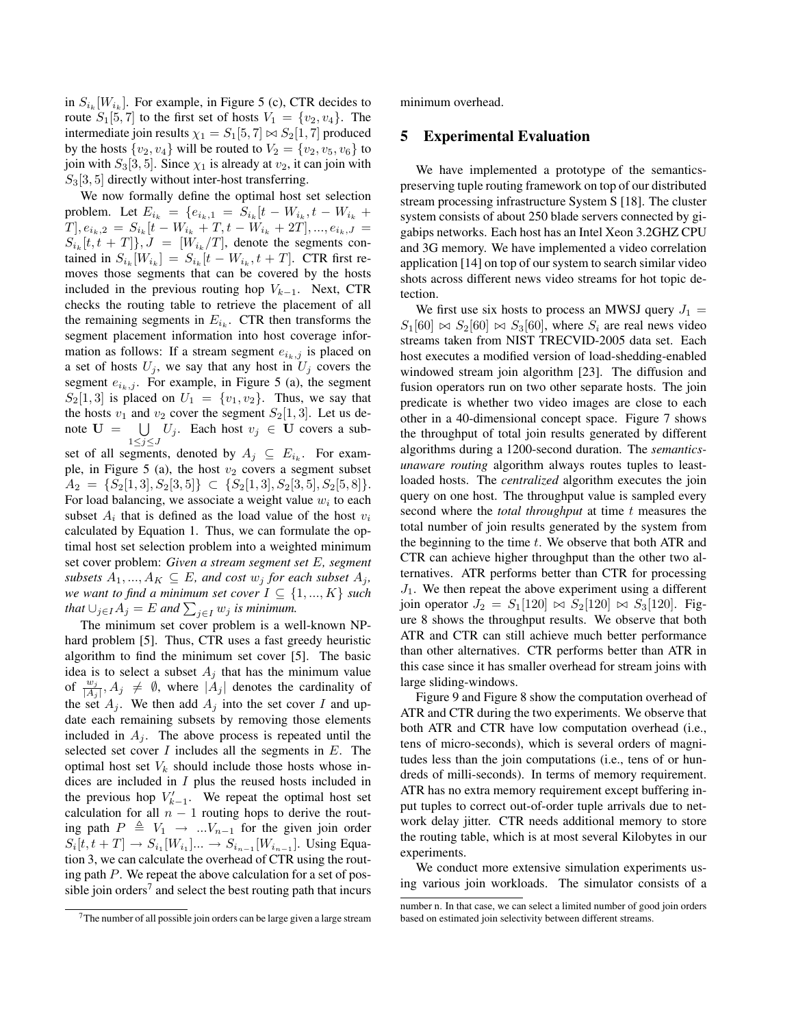in  $S_{i_k}[W_{i_k}]$ . For example, in Figure 5 (c), CTR decides to route  $S_1[5, 7]$  to the first set of hosts  $V_1 = \{v_2, v_4\}$ . The intermediate join results  $\chi_1 = S_1[5, 7] \bowtie S_2[1, 7]$  produced by the hosts  $\{v_2, v_4\}$  will be routed to  $V_2 = \{v_2, v_5, v_6\}$  to join with  $S_3[3, 5]$ . Since  $\chi_1$  is already at  $v_2$ , it can join with  $S_3[3, 5]$  directly without inter-host transferring.

We now formally define the optimal host set selection problem. Let  $E_{i_k} = \{e_{i_k,1} = S_{i_k} | t - W_{i_k}, t - W_{i_k} + \}$  $T, e_{i_k,2} = S_{i_k}[t - W_{i_k} + T, t - W_{i_k} + 2T], ..., e_{i_k, J}$  $S_{i_k}[t, t + T]\}, J = [W_{i_k}/T]$ , denote the segments contained in  $S_{i_k}[W_{i_k}] = S_{i_k}[t - W_{i_k}, t + T]$ . CTR first removes those segments that can be covered by the hosts included in the previous routing hop  $V_{k-1}$ . Next, CTR checks the routing table to retrieve the placement of all the remaining segments in  $E_{i_k}$ . CTR then transforms the segment placement information into host coverage information as follows: If a stream segment  $e_{i_k,j}$  is placed on a set of hosts  $U_j$ , we say that any host in  $U_j$  covers the segment  $e_{i_k,j}$ . For example, in Figure 5 (a), the segment  $S_2[1,3]$  is placed on  $U_1 = \{v_1, v_2\}$ . Thus, we say that the hosts  $v_1$  and  $v_2$  cover the segment  $S_2[1,3]$ . Let us denote  $U = \bigcup U_j$ . Each host  $v_j \in U$  covers a sub- $1\leq j\leq J$ 

set of all segments, denoted by  $A_j \subseteq E_{i_k}$ . For example, in Figure 5 (a), the host  $v_2$  covers a segment subset  $A_2 = \{S_2[1, 3], S_2[3, 5]\} \subset \{S_2[1, 3], S_2[3, 5], S_2[5, 8]\}.$ For load balancing, we associate a weight value  $w_i$  to each subset  $A_i$  that is defined as the load value of the host  $v_i$ calculated by Equation 1. Thus, we can formulate the optimal host set selection problem into a weighted minimum set cover problem: *Given a stream segment set* E*, segment subsets*  $A_1, ..., A_K \subseteq E$ *, and cost*  $w_j$  *for each subset*  $A_j$ *, we want to find a minimum set cover*  $I \subseteq \{1, ..., K\}$  *such that*  $\bigcup_{j\in I} A_j = E$  *and*  $\sum_{j\in I} w_j$  *is minimum.* 

The minimum set cover problem is a well-known NPhard problem [5]. Thus, CTR uses a fast greedy heuristic algorithm to find the minimum set cover [5]. The basic idea is to select a subset  $A_i$  that has the minimum value of  $\frac{w_j}{|A_j|}, A_j \neq \emptyset$ , where  $|A_j|$  denotes the cardinality of the set  $A_i$ . We then add  $A_j$  into the set cover I and update each remaining subsets by removing those elements included in  $A_i$ . The above process is repeated until the selected set cover  $I$  includes all the segments in  $E$ . The optimal host set  $V_k$  should include those hosts whose indices are included in I plus the reused hosts included in the previous hop  $V_{k-1}$ . We repeat the optimal host set calculation for all  $n - 1$  routing hops to derive the routing path  $P \triangleq V_1 \rightarrow ... V_{n-1}$  for the given join order  $S_i[t, t + T] \to S_{i_1}[W_{i_1}] \dots \to S_{i_{n-1}}[W_{i_{n-1}}]$ . Using Equation 3, we can calculate the overhead of CTR using the routing path P. We repeat the above calculation for a set of possible join orders<sup>7</sup> and select the best routing path that incurs

 $7$ The number of all possible join orders can be large given a large stream

minimum overhead.

## **5 Experimental Evaluation**

We have implemented a prototype of the semanticspreserving tuple routing framework on top of our distributed stream processing infrastructure System S [18]. The cluster system consists of about 250 blade servers connected by gigabips networks. Each host has an Intel Xeon 3.2GHZ CPU and 3G memory. We have implemented a video correlation application [14] on top of our system to search similar video shots across different news video streams for hot topic detection.

We first use six hosts to process an MWSJ query  $J_1$  =  $S_1[60] \bowtie S_2[60] \bowtie S_3[60]$ , where  $S_i$  are real news video streams taken from NIST TRECVID-2005 data set. Each host executes a modified version of load-shedding-enabled windowed stream join algorithm [23]. The diffusion and fusion operators run on two other separate hosts. The join predicate is whether two video images are close to each other in a 40-dimensional concept space. Figure 7 shows the throughput of total join results generated by different algorithms during a 1200-second duration. The *semanticsunaware routing* algorithm always routes tuples to leastloaded hosts. The *centralized* algorithm executes the join query on one host. The throughput value is sampled every second where the *total throughput* at time t measures the total number of join results generated by the system from the beginning to the time  $t$ . We observe that both ATR and CTR can achieve higher throughput than the other two alternatives. ATR performs better than CTR for processing  $J_1$ . We then repeat the above experiment using a different join operator  $J_2 = S_1[120] \bowtie S_2[120] \bowtie S_3[120]$ . Figure 8 shows the throughput results. We observe that both ATR and CTR can still achieve much better performance than other alternatives. CTR performs better than ATR in this case since it has smaller overhead for stream joins with large sliding-windows.

Figure 9 and Figure 8 show the computation overhead of ATR and CTR during the two experiments. We observe that both ATR and CTR have low computation overhead (i.e., tens of micro-seconds), which is several orders of magnitudes less than the join computations (i.e., tens of or hundreds of milli-seconds). In terms of memory requirement. ATR has no extra memory requirement except buffering input tuples to correct out-of-order tuple arrivals due to network delay jitter. CTR needs additional memory to store the routing table, which is at most several Kilobytes in our experiments.

We conduct more extensive simulation experiments using various join workloads. The simulator consists of a

number n. In that case, we can select a limited number of good join orders based on estimated join selectivity between different streams.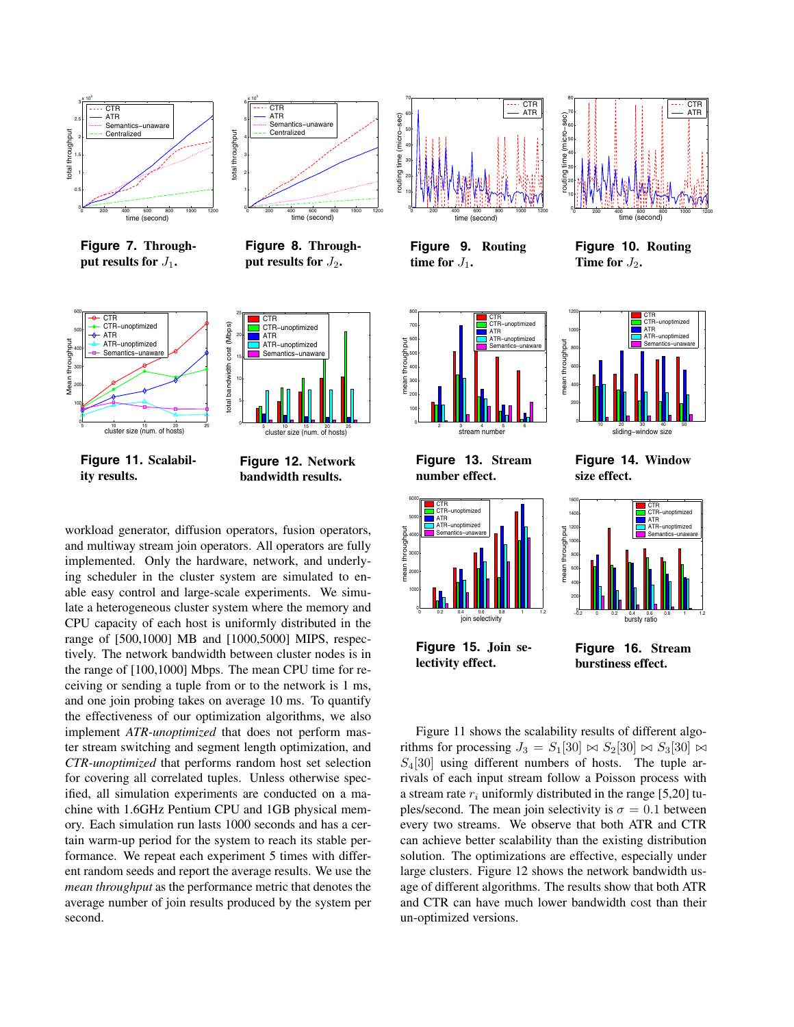

**Figure 7. Throughput results for**  $J_1$ **.** 



**Figure 8. Through**put results for  $J_2$ **.** 



**Figure 11. Scalability results.**



cluster size (num. of hosts)

**Figure 12. Network bandwidth results.**

workload generator, diffusion operators, fusion operators, and multiway stream join operators. All operators are fully implemented. Only the hardware, network, and underlying scheduler in the cluster system are simulated to enable easy control and large-scale experiments. We simulate a heterogeneous cluster system where the memory and CPU capacity of each host is uniformly distributed in the range of [500,1000] MB and [1000,5000] MIPS, respectively. The network bandwidth between cluster nodes is in the range of [100,1000] Mbps. The mean CPU time for receiving or sending a tuple from or to the network is 1 ms, and one join probing takes on average 10 ms. To quantify the effectiveness of our optimization algorithms, we also implement *ATR-unoptimized* that does not perform master stream switching and segment length optimization, and *CTR-unoptimized* that performs random host set selection for covering all correlated tuples. Unless otherwise specified, all simulation experiments are conducted on a machine with 1.6GHz Pentium CPU and 1GB physical memory. Each simulation run lasts 1000 seconds and has a certain warm-up period for the system to reach its stable performance. We repeat each experiment 5 times with different random seeds and report the average results. We use the *mean throughput* as the performance metric that denotes the average number of join results produced by the system per second.



**Figure 9. Routing time for**  $J_1$ .



**Figure 13. Stream number effect.**



**Figure 14. Window size effect.**

 $\frac{10}{10}$   $\frac{20}{20}$  30  $\frac{40}{50}$  50<br>Sliding–window size

mean throughput

mean throughput



**Figure 15. Join selectivity effect.**

**Figure 16. Stream burstiness effect.**

Figure 11 shows the scalability results of different algorithms for processing  $J_3 = S_1[30] \bowtie S_2[30] \bowtie S_3[30] \bowtie$  $S_4[30]$  using different numbers of hosts. The tuple arrivals of each input stream follow a Poisson process with a stream rate  $r_i$  uniformly distributed in the range [5,20] tuples/second. The mean join selectivity is  $\sigma = 0.1$  between every two streams. We observe that both ATR and CTR can achieve better scalability than the existing distribution solution. The optimizations are effective, especially under large clusters. Figure 12 shows the network bandwidth usage of different algorithms. The results show that both ATR and CTR can have much lower bandwidth cost than their un-optimized versions.



time (second) **Figure 10. Routing**

CTR CTR−unoptimized ATR ATR−unoptimized Semantics−unaware

**Time for**  $J_2$ .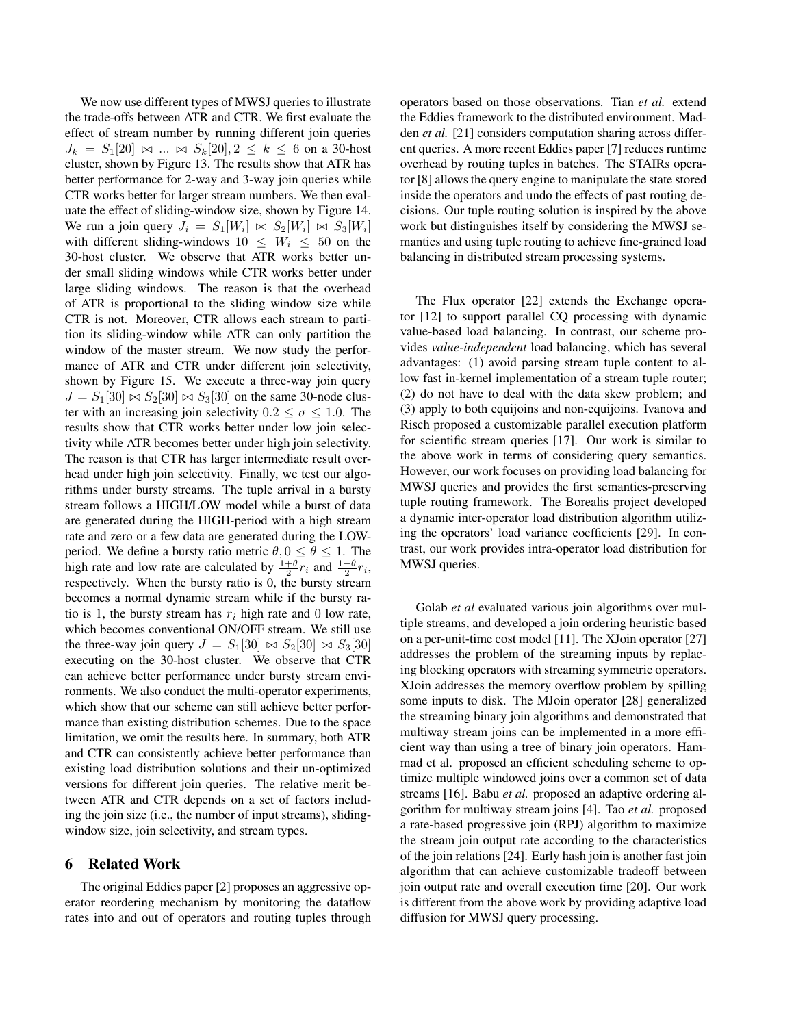We now use different types of MWSJ queries to illustrate the trade-offs between ATR and CTR. We first evaluate the effect of stream number by running different join queries  $J_k = S_1[20] \bowtie ... \bowtie S_k[20], 2 \leq k \leq 6$  on a 30-host cluster, shown by Figure 13. The results show that ATR has better performance for 2-way and 3-way join queries while CTR works better for larger stream numbers. We then evaluate the effect of sliding-window size, shown by Figure 14. We run a join query  $J_i = S_1[W_i] \bowtie S_2[W_i] \bowtie S_3[W_i]$ with different sliding-windows  $10 \leq W_i \leq 50$  on the 30-host cluster. We observe that ATR works better under small sliding windows while CTR works better under large sliding windows. The reason is that the overhead of ATR is proportional to the sliding window size while CTR is not. Moreover, CTR allows each stream to partition its sliding-window while ATR can only partition the window of the master stream. We now study the performance of ATR and CTR under different join selectivity, shown by Figure 15. We execute a three-way join query  $J = S_1[30] \bowtie S_2[30] \bowtie S_3[30]$  on the same 30-node cluster with an increasing join selectivity  $0.2 \le \sigma \le 1.0$ . The results show that CTR works better under low join selectivity while ATR becomes better under high join selectivity. The reason is that CTR has larger intermediate result overhead under high join selectivity. Finally, we test our algorithms under bursty streams. The tuple arrival in a bursty stream follows a HIGH/LOW model while a burst of data are generated during the HIGH-period with a high stream rate and zero or a few data are generated during the LOWperiod. We define a bursty ratio metric  $\theta$ ,  $0 \le \theta \le 1$ . The high rate and low rate are calculated by  $\frac{1+\theta}{2}r_i$  and  $\frac{1-\theta}{2}r_i$ , respectively. When the bursty ratio is 0, the bursty stream becomes a normal dynamic stream while if the bursty ratio is 1, the bursty stream has  $r_i$  high rate and 0 low rate, which becomes conventional ON/OFF stream. We still use the three-way join query  $J = S_1[30] \bowtie S_2[30] \bowtie S_3[30]$ executing on the 30-host cluster. We observe that CTR can achieve better performance under bursty stream environments. We also conduct the multi-operator experiments, which show that our scheme can still achieve better performance than existing distribution schemes. Due to the space limitation, we omit the results here. In summary, both ATR and CTR can consistently achieve better performance than existing load distribution solutions and their un-optimized versions for different join queries. The relative merit between ATR and CTR depends on a set of factors including the join size (i.e., the number of input streams), slidingwindow size, join selectivity, and stream types.

## **6 Related Work**

The original Eddies paper [2] proposes an aggressive operator reordering mechanism by monitoring the dataflow rates into and out of operators and routing tuples through operators based on those observations. Tian *et al.* extend the Eddies framework to the distributed environment. Madden *et al.* [21] considers computation sharing across different queries. A more recent Eddies paper [7] reduces runtime overhead by routing tuples in batches. The STAIRs operator [8] allows the query engine to manipulate the state stored inside the operators and undo the effects of past routing decisions. Our tuple routing solution is inspired by the above work but distinguishes itself by considering the MWSJ semantics and using tuple routing to achieve fine-grained load balancing in distributed stream processing systems.

The Flux operator [22] extends the Exchange operator [12] to support parallel CQ processing with dynamic value-based load balancing. In contrast, our scheme provides *value-independent* load balancing, which has several advantages: (1) avoid parsing stream tuple content to allow fast in-kernel implementation of a stream tuple router; (2) do not have to deal with the data skew problem; and (3) apply to both equijoins and non-equijoins. Ivanova and Risch proposed a customizable parallel execution platform for scientific stream queries [17]. Our work is similar to the above work in terms of considering query semantics. However, our work focuses on providing load balancing for MWSJ queries and provides the first semantics-preserving tuple routing framework. The Borealis project developed a dynamic inter-operator load distribution algorithm utilizing the operators' load variance coefficients [29]. In contrast, our work provides intra-operator load distribution for MWSJ queries.

Golab *et al* evaluated various join algorithms over multiple streams, and developed a join ordering heuristic based on a per-unit-time cost model [11]. The XJoin operator [27] addresses the problem of the streaming inputs by replacing blocking operators with streaming symmetric operators. XJoin addresses the memory overflow problem by spilling some inputs to disk. The MJoin operator [28] generalized the streaming binary join algorithms and demonstrated that multiway stream joins can be implemented in a more efficient way than using a tree of binary join operators. Hammad et al. proposed an efficient scheduling scheme to optimize multiple windowed joins over a common set of data streams [16]. Babu *et al.* proposed an adaptive ordering algorithm for multiway stream joins [4]. Tao *et al.* proposed a rate-based progressive join (RPJ) algorithm to maximize the stream join output rate according to the characteristics of the join relations [24]. Early hash join is another fast join algorithm that can achieve customizable tradeoff between join output rate and overall execution time [20]. Our work is different from the above work by providing adaptive load diffusion for MWSJ query processing.